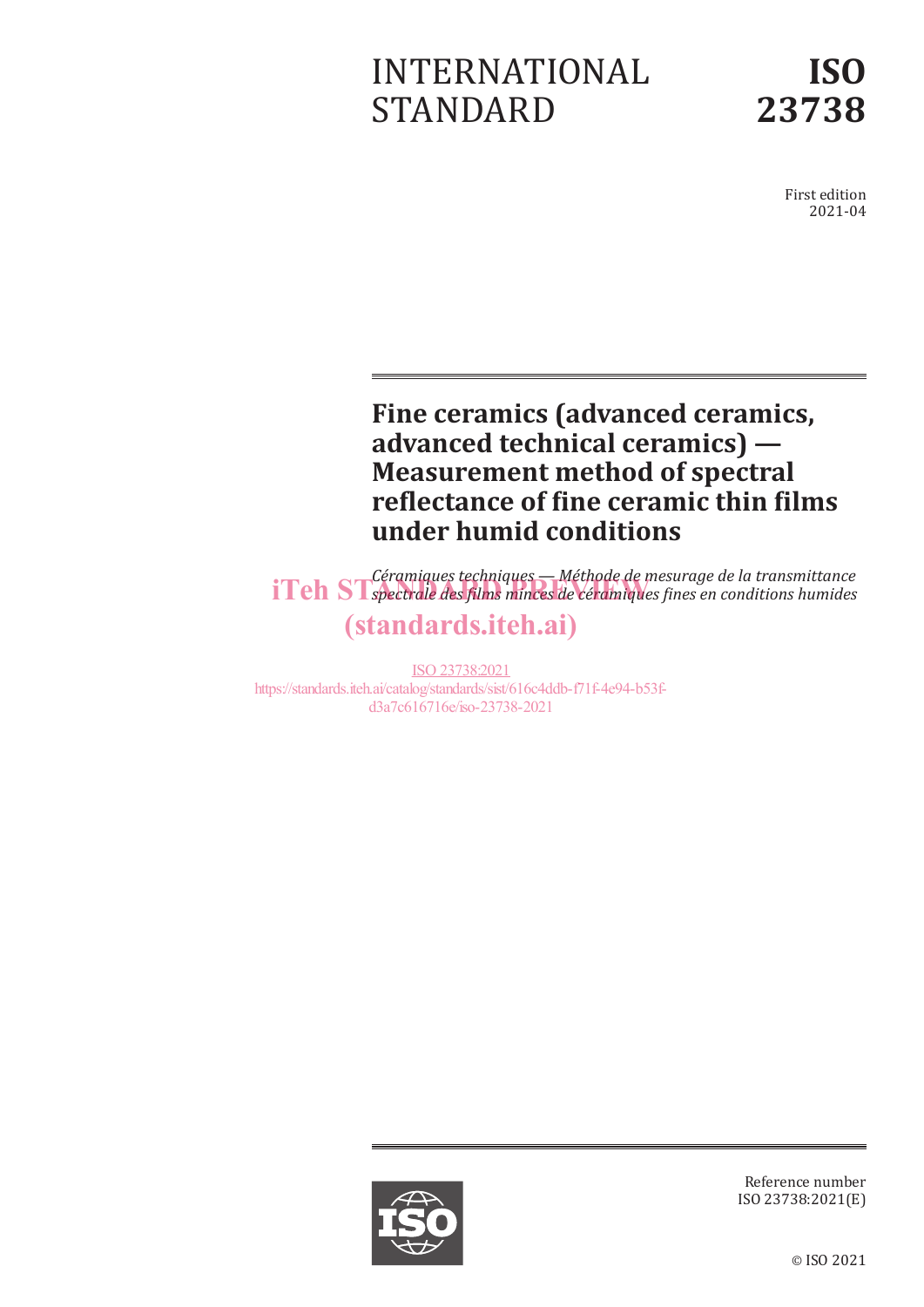# INTERNATIONAL STANDARD



First edition 2021-04

## **Fine ceramics (advanced ceramics, advanced technical ceramics) — Measurement method of spectral reflectance of fine ceramic thin films under humid conditions**

*Céramiques techniques — Méthode de mesurage de la transmittance*  iTeh ST spectrale des films minces de céramiques fines en conditions humides<br> **iTeh ST** spectrale des films minces de céramiques fines en conditions humides

## (standards.iteh.ai)

ISO 23738:2021 https://standards.iteh.ai/catalog/standards/sist/616c4ddb-f71f-4e94-b53fd3a7c616716e/iso-23738-2021



Reference number ISO 23738:2021(E)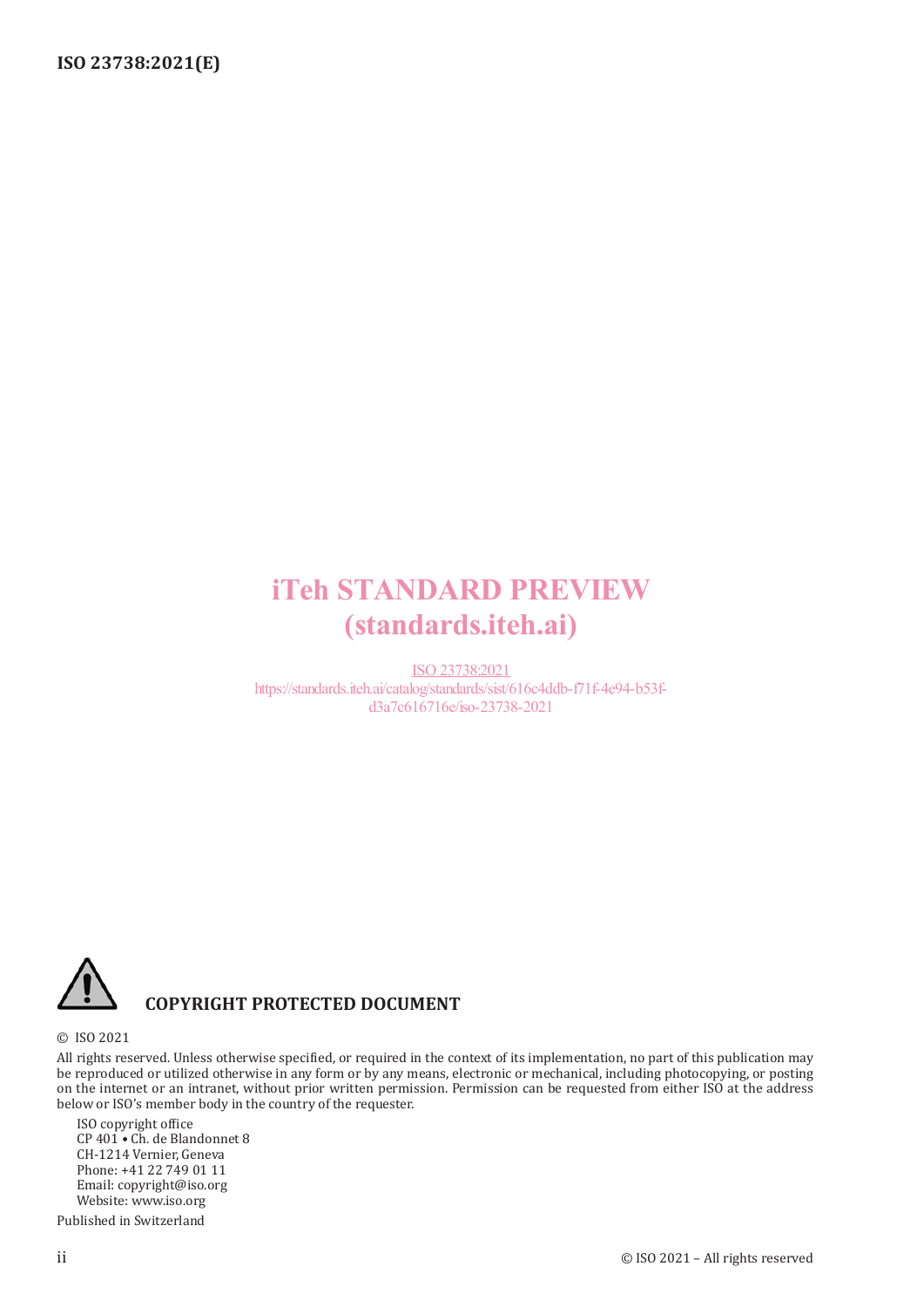## iTeh STANDARD PREVIEW (standards.iteh.ai)

ISO 23738:2021 https://standards.iteh.ai/catalog/standards/sist/616c4ddb-f71f-4e94-b53fd3a7c616716e/iso-23738-2021



#### **COPYRIGHT PROTECTED DOCUMENT**

#### © ISO 2021

All rights reserved. Unless otherwise specified, or required in the context of its implementation, no part of this publication may be reproduced or utilized otherwise in any form or by any means, electronic or mechanical, including photocopying, or posting on the internet or an intranet, without prior written permission. Permission can be requested from either ISO at the address below or ISO's member body in the country of the requester.

ISO copyright office CP 401 • Ch. de Blandonnet 8 CH-1214 Vernier, Geneva Phone: +41 22 749 01 11 Email: copyright@iso.org Website: www.iso.org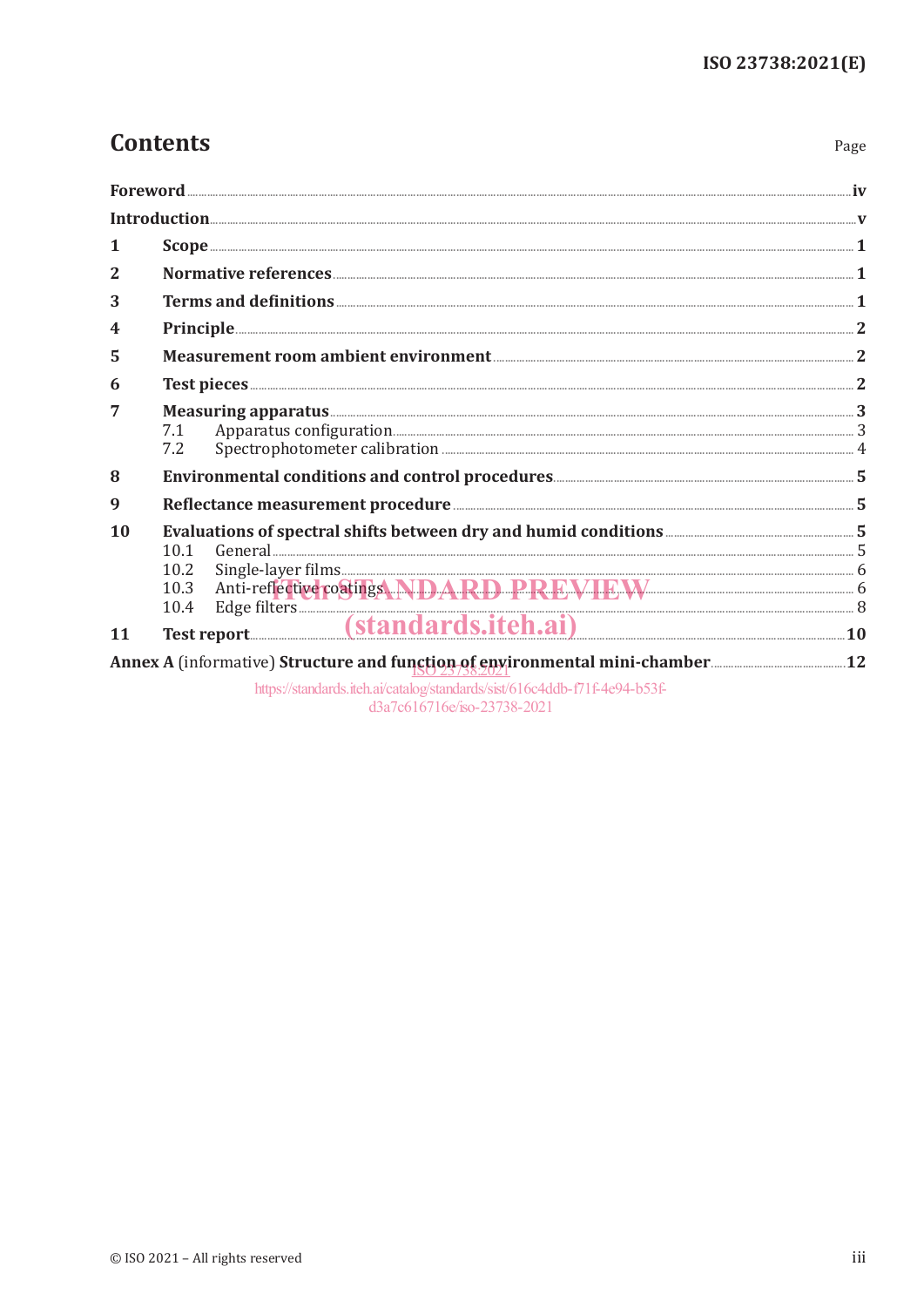Page

### **Contents**

|                  | Foreword                                                                                                                                                                                                                       |  |
|------------------|--------------------------------------------------------------------------------------------------------------------------------------------------------------------------------------------------------------------------------|--|
|                  | Introduction with the contraction with the contraction with the contraction with the contraction with the contraction with the contraction with the contraction with the contraction with the contraction with the contraction |  |
| 1                |                                                                                                                                                                                                                                |  |
| 2                |                                                                                                                                                                                                                                |  |
| 3                | Terms and definitions <b>Executive Executive Contract 2</b>                                                                                                                                                                    |  |
| $\boldsymbol{4}$ |                                                                                                                                                                                                                                |  |
| 5                |                                                                                                                                                                                                                                |  |
| 6                | Test pieces <b>Maria Communication Contract Communication</b> 2                                                                                                                                                                |  |
| 7<br>8           | Measuring apparatus <b>Exercise According and Security</b> 3<br>7.1<br>7.2                                                                                                                                                     |  |
| 9                |                                                                                                                                                                                                                                |  |
| 10               | 10.1<br>10.2<br>10.3<br>Test report (standards.iteh.ai) 3                                                                                                                                                                      |  |
| 11               |                                                                                                                                                                                                                                |  |
|                  |                                                                                                                                                                                                                                |  |
|                  | https://standards.iteh.ai/catalog/standards/sist/616c4ddb-f71f-4e94-b53f-                                                                                                                                                      |  |

d3a7c616716e/iso-23738-2021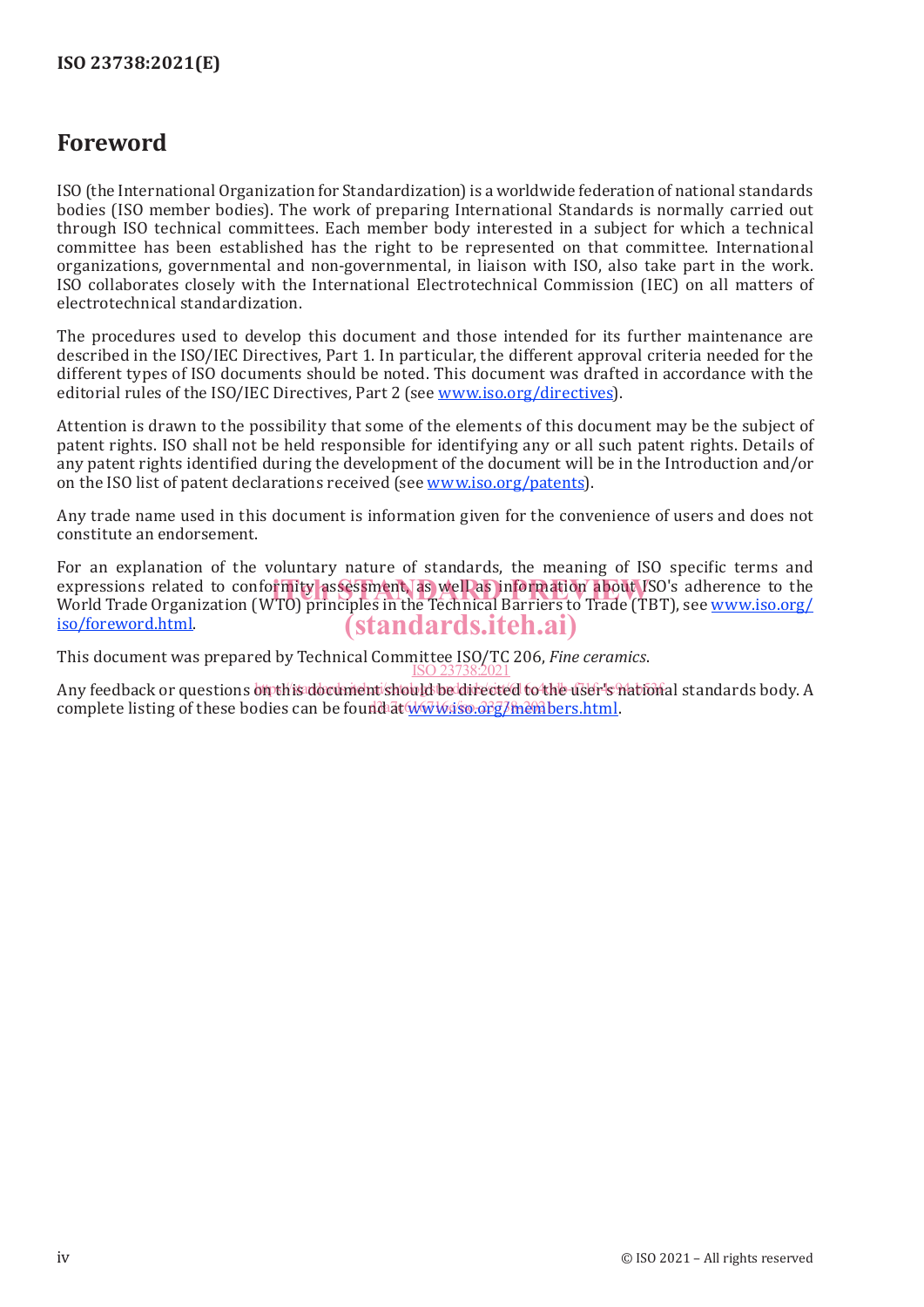### **Foreword**

ISO (the International Organization for Standardization) is a worldwide federation of national standards bodies (ISO member bodies). The work of preparing International Standards is normally carried out through ISO technical committees. Each member body interested in a subject for which a technical committee has been established has the right to be represented on that committee. International organizations, governmental and non-governmental, in liaison with ISO, also take part in the work. ISO collaborates closely with the International Electrotechnical Commission (IEC) on all matters of electrotechnical standardization.

The procedures used to develop this document and those intended for its further maintenance are described in the ISO/IEC Directives, Part 1. In particular, the different approval criteria needed for the different types of ISO documents should be noted. This document was drafted in accordance with the editorial rules of the ISO/IEC Directives, Part 2 (see www.iso.org/directives).

Attention is drawn to the possibility that some of the elements of this document may be the subject of patent rights. ISO shall not be held responsible for identifying any or all such patent rights. Details of any patent rights identified during the development of the document will be in the Introduction and/or on the ISO list of patent declarations received (see www.iso.org/patents).

Any trade name used in this document is information given for the convenience of users and does not constitute an endorsement.

For an explanation of the voluntary nature of standards, the meaning of ISO specific terms and expressions related to conformity assessment, as well as information about ISO's adherence to the<br>World Trade Organization (WTO) principles in the Technical Barriers to Trade (TBT), see www.iso.org/ World Trade Organization (WTO) principles in the Technical Barriers to Trade (TBT), see www.iso.org/ iso/foreword.html. (standards.iteh.ai)

This document was prepared by Technical Committee ISO/TC 206, *Fine ceramics*. ISO 23738:2021

Any feedback or questions om this document should be directed to the user's national standards body. A complete listing of these bodies can be found at <u>www.iso.org/members.html</u>.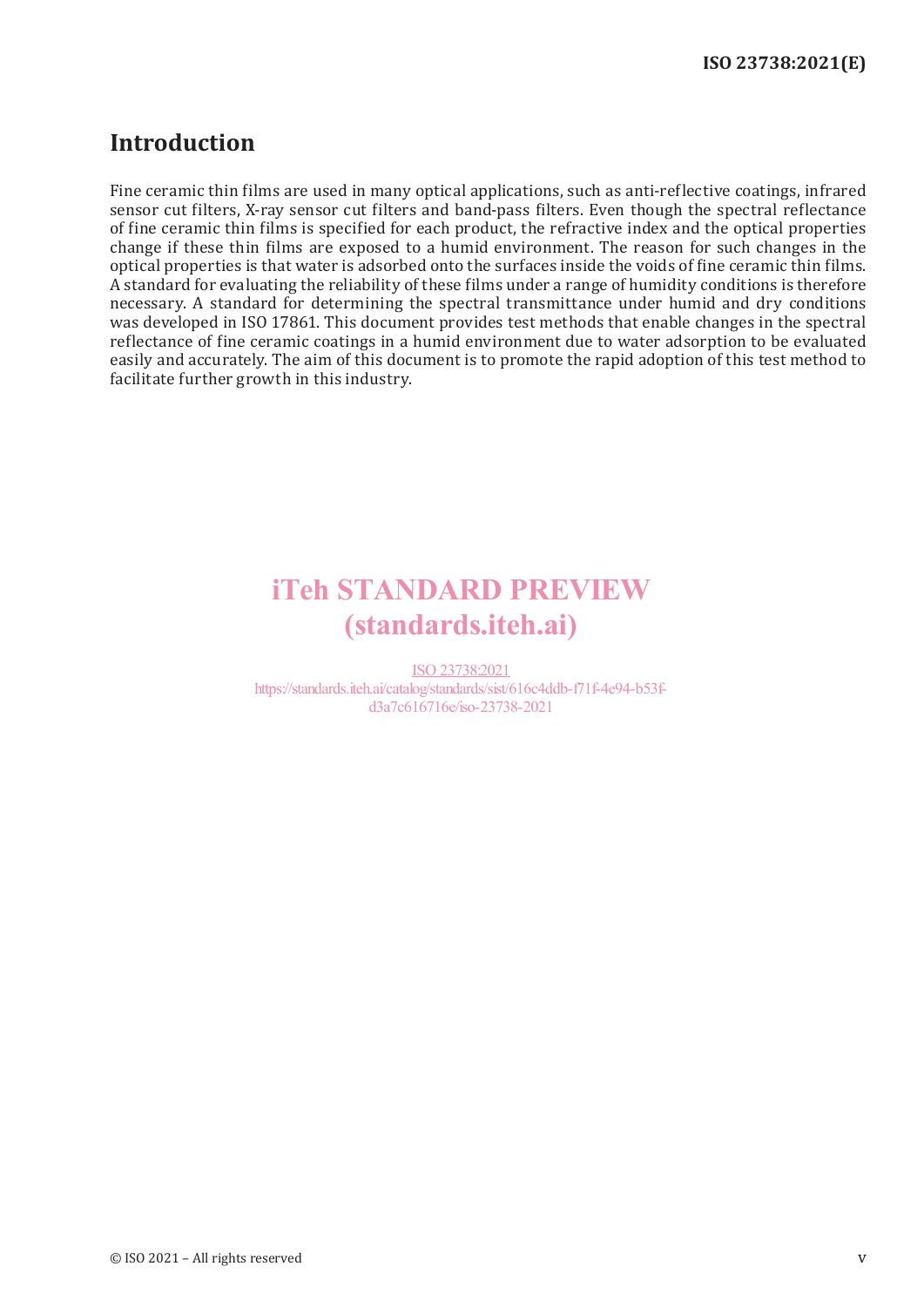### **Introduction**

Fine ceramic thin films are used in many optical applications, such as anti-reflective coatings, infrared sensor cut filters, X-ray sensor cut filters and band-pass filters. Even though the spectral reflectance of fine ceramic thin films is specified for each product, the refractive index and the optical properties change if these thin films are exposed to a humid environment. The reason for such changes in the optical properties is that water is adsorbed onto the surfaces inside the voids of fine ceramic thin films. A standard for evaluating the reliability of these films under a range of humidity conditions is therefore necessary. A standard for determining the spectral transmittance under humid and dry conditions was developed in ISO 17861. This document provides test methods that enable changes in the spectral reflectance of fine ceramic coatings in a humid environment due to water adsorption to be evaluated easily and accurately. The aim of this document is to promote the rapid adoption of this test method to facilitate further growth in this industry.

## iTeh STANDARD PREVIEW (standards.iteh.ai)

ISO 23738:2021 https://standards.iteh.ai/catalog/standards/sist/616c4ddb-f71f-4e94-b53fd3a7c616716e/iso-23738-2021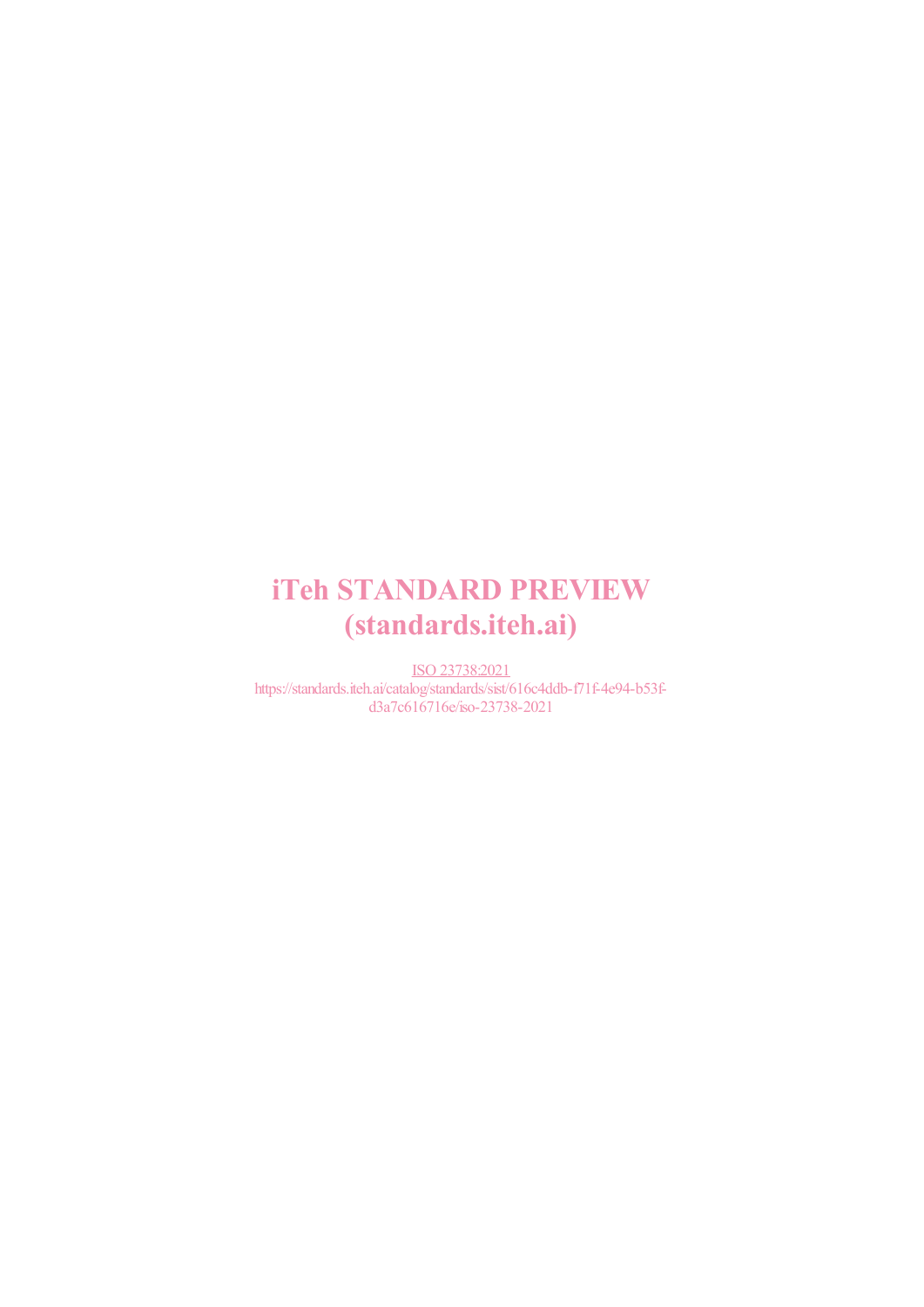## iTeh STANDARD PREVIEW (standards.iteh.ai)

ISO 23738:2021 https://standards.iteh.ai/catalog/standards/sist/616c4ddb-f71f-4e94-b53fd3a7c616716e/iso-23738-2021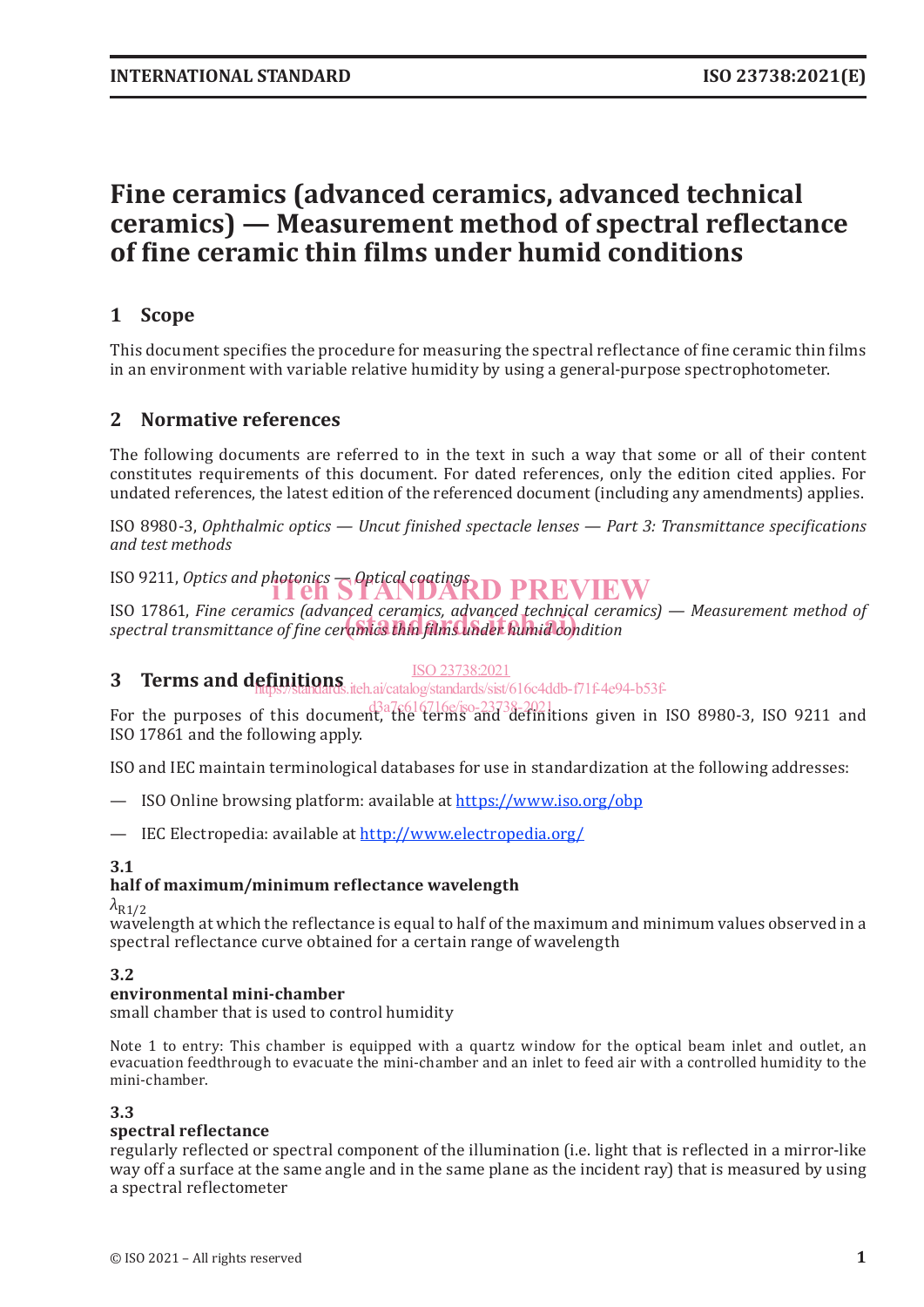### **Fine ceramics (advanced ceramics, advanced technical ceramics) — Measurement method of spectral reflectance of fine ceramic thin films under humid conditions**

#### **1 Scope**

This document specifies the procedure for measuring the spectral reflectance of fine ceramic thin films in an environment with variable relative humidity by using a general-purpose spectrophotometer.

#### **2 Normative references**

The following documents are referred to in the text in such a way that some or all of their content constitutes requirements of this document. For dated references, only the edition cited applies. For undated references, the latest edition of the referenced document (including any amendments) applies.

ISO 8980-3, *Ophthalmic optics — Uncut finished spectacle lenses — Part 3: Transmittance specifications and test methods*

# ISO 9211, *Optics and photonics* and *Photonics* **Busical coatings D PREVIEW**

ISO 17861, *Fine ceramics (advanced ceramics, advanced technical ceramics) — Measurement method of*  iso 17861, rine ceramics (aavanced ceramics, aavanced technical cera<br>spectral transmittance of fine ceramics thin films under humid condition

#### ISO 23738:2021

**3 Terms and definitions**<br> **https://standards.iteh.ai/catalog/standards/sist/616c4ddb-f71f-4e94-b53f-**

For the purposes of this document, the terms and definitions given in ISO 8980-3, ISO 9211 and ISO 17861 and the following apply.

ISO and IEC maintain terminological databases for use in standardization at the following addresses:

- ISO Online browsing platform: available at https://www.iso.org/obp
- IEC Electropedia: available at http://www.electropedia.org/

#### **3.1**

#### **half of maximum/minimum reflectance wavelength**

 $λ$ <sub>R1/2</sub>

wavelength at which the reflectance is equal to half of the maximum and minimum values observed in a spectral reflectance curve obtained for a certain range of wavelength

#### **3.2**

#### **environmental mini-chamber**

small chamber that is used to control humidity

Note 1 to entry: This chamber is equipped with a quartz window for the optical beam inlet and outlet, an evacuation feedthrough to evacuate the mini-chamber and an inlet to feed air with a controlled humidity to the mini-chamber.

#### **3.3**

#### **spectral reflectance**

regularly reflected or spectral component of the illumination (i.e. light that is reflected in a mirror-like way off a surface at the same angle and in the same plane as the incident ray) that is measured by using a spectral reflectometer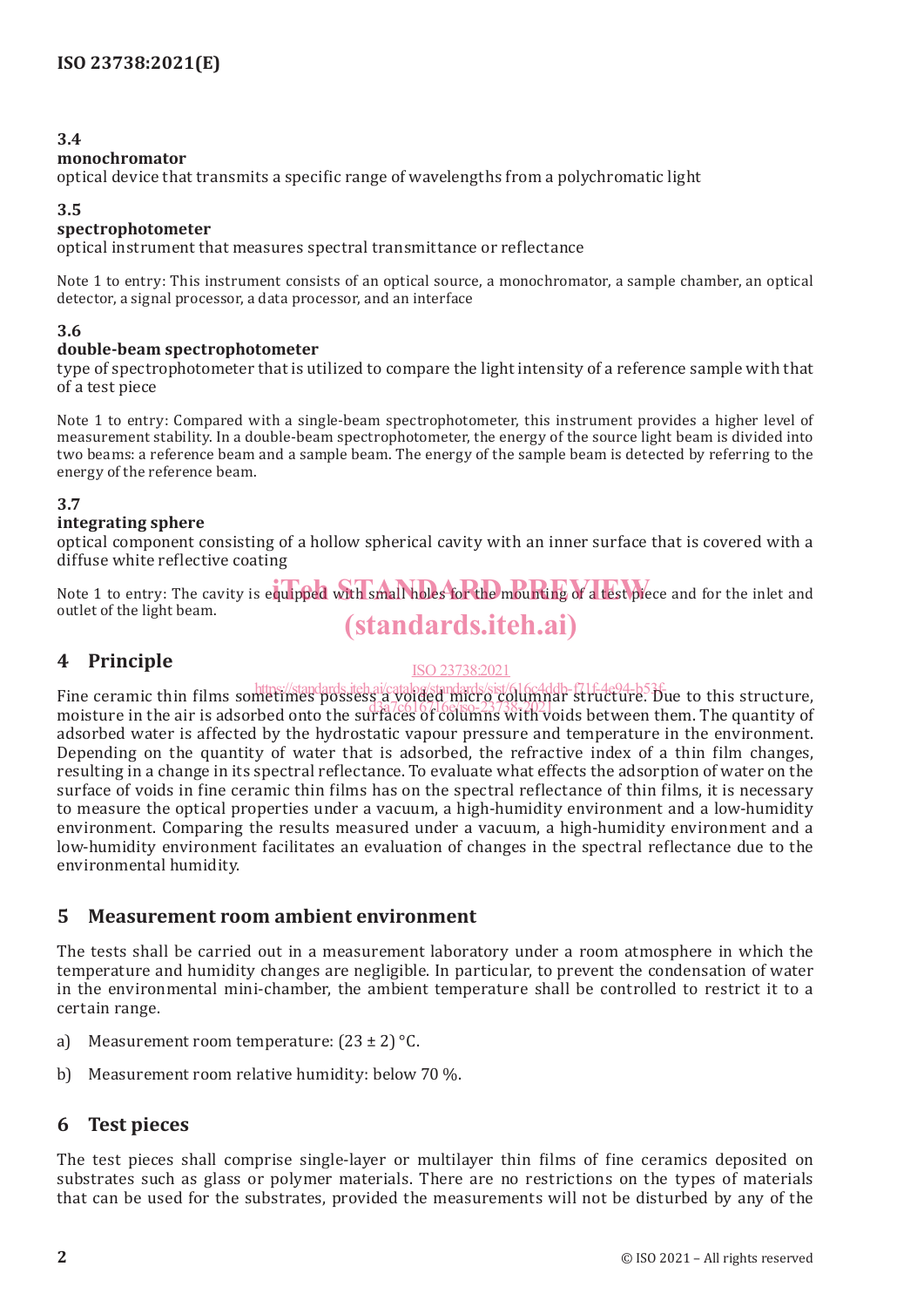#### **3.4**

#### **monochromator**

optical device that transmits a specific range of wavelengths from a polychromatic light

#### **3.5**

#### **spectrophotometer**

optical instrument that measures spectral transmittance or reflectance

Note 1 to entry: This instrument consists of an optical source, a monochromator, a sample chamber, an optical detector, a signal processor, a data processor, and an interface

#### **3.6**

#### **double-beam spectrophotometer**

type of spectrophotometer that is utilized to compare the light intensity of a reference sample with that of a test piece

Note 1 to entry: Compared with a single-beam spectrophotometer, this instrument provides a higher level of measurement stability. In a double-beam spectrophotometer, the energy of the source light beam is divided into two beams: a reference beam and a sample beam. The energy of the sample beam is detected by referring to the energy of the reference beam.

#### **3.7**

#### **integrating sphere**

optical component consisting of a hollow spherical cavity with an inner surface that is covered with a diffuse white reflective coating

Note 1 to entry: The cavity is equipped with small holes for the mounting of a test piece and for the inlet and outlet of the light beam. (standards.iteh.ai)

#### **4 Principle**

#### ISO 23738:2021

Fine ceramic thin films sometimes possess a voided micro columnar structure.<br>Fine ceramic thin films sometimes possess a voided micro columnar structure. moisture in the air is adsorbed onto the surfaces of columns with voids between them. The quantity of moisture in the air is adsorbed onto the surfaces of columns with voids between them. The quantity of adsorbed water is affected by the hydrostatic vapour pressure and temperature in the environment. Depending on the quantity of water that is adsorbed, the refractive index of a thin film changes, resulting in a change in its spectral reflectance. To evaluate what effects the adsorption of water on the surface of voids in fine ceramic thin films has on the spectral reflectance of thin films, it is necessary to measure the optical properties under a vacuum, a high-humidity environment and a low-humidity environment. Comparing the results measured under a vacuum, a high-humidity environment and a low-humidity environment facilitates an evaluation of changes in the spectral reflectance due to the environmental humidity.

#### **5 Measurement room ambient environment**

The tests shall be carried out in a measurement laboratory under a room atmosphere in which the temperature and humidity changes are negligible. In particular, to prevent the condensation of water in the environmental mini-chamber, the ambient temperature shall be controlled to restrict it to a certain range.

- a) Measurement room temperature:  $(23 \pm 2)$  °C.
- b) Measurement room relative humidity: below 70 %.

#### **6 Test pieces**

The test pieces shall comprise single-layer or multilayer thin films of fine ceramics deposited on substrates such as glass or polymer materials. There are no restrictions on the types of materials that can be used for the substrates, provided the measurements will not be disturbed by any of the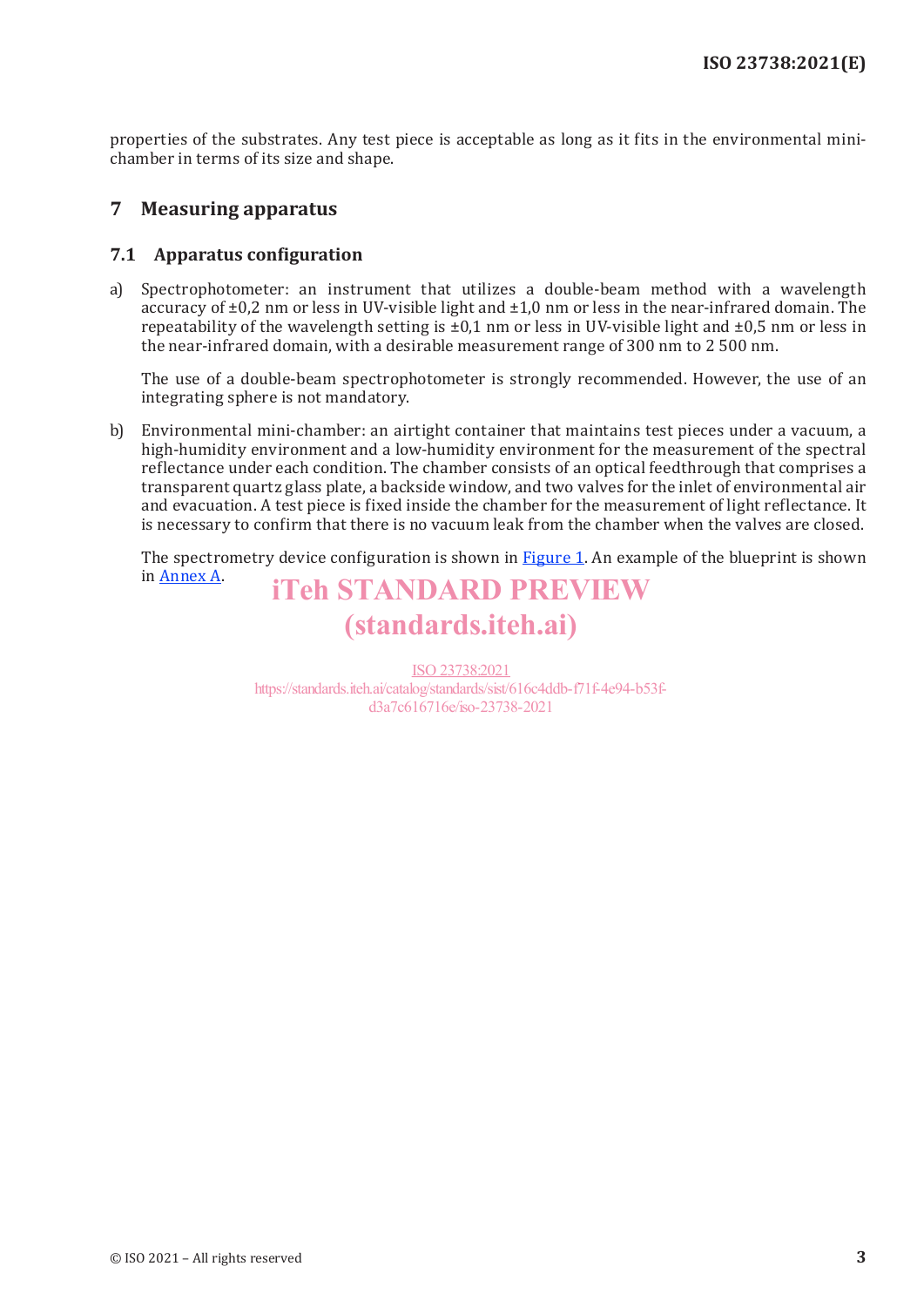properties of the substrates. Any test piece is acceptable as long as it fits in the environmental minichamber in terms of its size and shape.

#### **7 Measuring apparatus**

#### **7.1 Apparatus configuration**

a) Spectrophotometer: an instrument that utilizes a double-beam method with a wavelength accuracy of  $\pm 0.2$  nm or less in UV-visible light and  $\pm 1.0$  nm or less in the near-infrared domain. The repeatability of the wavelength setting is  $\pm 0.1$  nm or less in UV-visible light and  $\pm 0.5$  nm or less in the near-infrared domain, with a desirable measurement range of 300 nm to 2 500 nm.

The use of a double-beam spectrophotometer is strongly recommended. However, the use of an integrating sphere is not mandatory.

b) Environmental mini-chamber: an airtight container that maintains test pieces under a vacuum, a high-humidity environment and a low-humidity environment for the measurement of the spectral reflectance under each condition. The chamber consists of an optical feedthrough that comprises a transparent quartz glass plate, a backside window, and two valves for the inlet of environmental air and evacuation. A test piece is fixed inside the chamber for the measurement of light reflectance. It is necessary to confirm that there is no vacuum leak from the chamber when the valves are closed.

The spectrometry device configuration is shown in Figure 1. An example of the blueprint is shown in Annex A. iTeh STANDARD PREVIEW

# (standards.iteh.ai)

ISO 23738:2021 https://standards.iteh.ai/catalog/standards/sist/616c4ddb-f71f-4e94-b53fd3a7c616716e/iso-23738-2021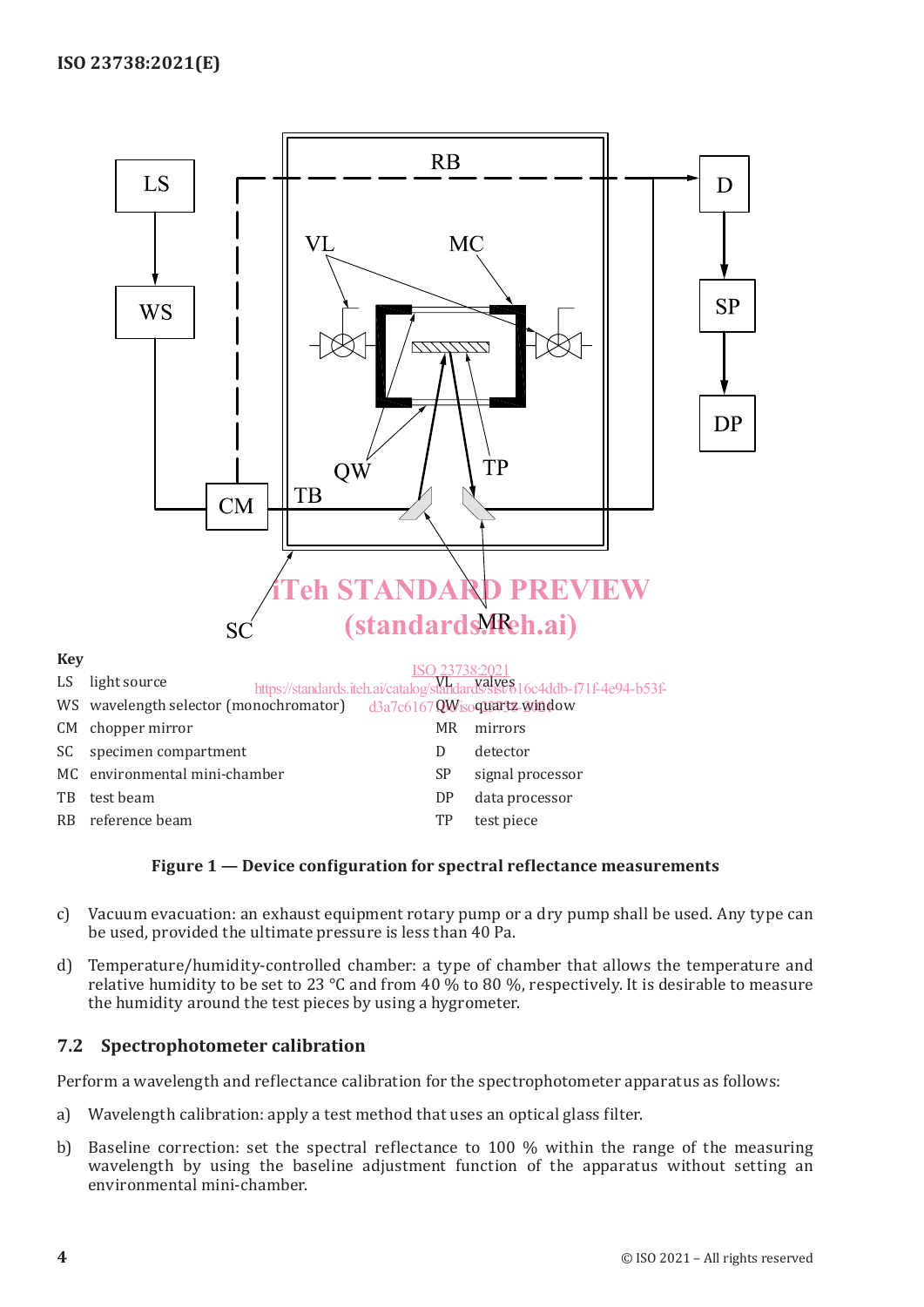

#### **Figure 1 — Device configuration for spectral reflectance measurements**

- c) Vacuum evacuation: an exhaust equipment rotary pump or a dry pump shall be used. Any type can be used, provided the ultimate pressure is less than 40 Pa.
- d) Temperature/humidity-controlled chamber: a type of chamber that allows the temperature and relative humidity to be set to 23 °C and from 40 % to 80 %, respectively. It is desirable to measure the humidity around the test pieces by using a hygrometer.

#### **7.2 Spectrophotometer calibration**

Perform a wavelength and reflectance calibration for the spectrophotometer apparatus as follows:

- a) Wavelength calibration: apply a test method that uses an optical glass filter.
- b) Baseline correction: set the spectral reflectance to 100 % within the range of the measuring wavelength by using the baseline adjustment function of the apparatus without setting an environmental mini-chamber.